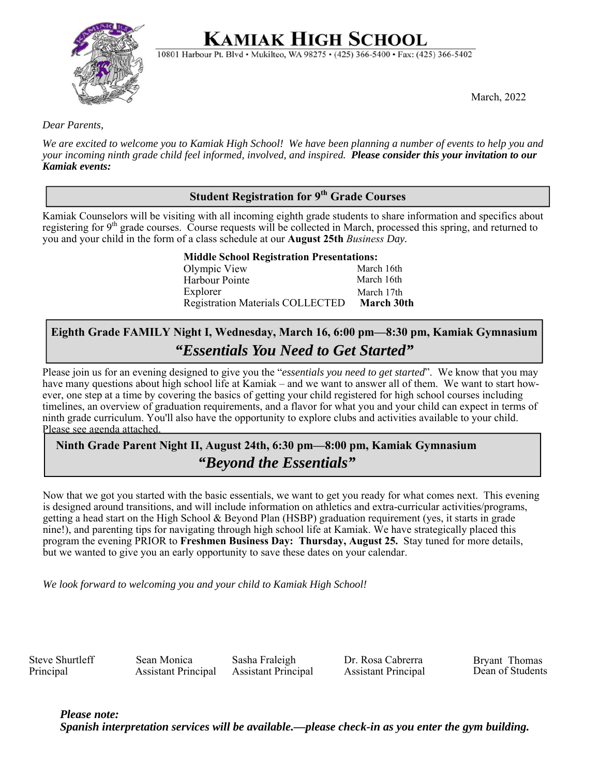

# **KAMIAK HIGH SCHOOL**

10801 Harbour Pt. Blvd · Mukilteo, WA 98275 · (425) 366-5400 · Fax: (425) 366-5402

March, 2022

#### *Dear Parents,*

*We are excited to welcome you to Kamiak High School! We have been planning a number of events to help you and your incoming ninth grade child feel informed, involved, and inspired. Please consider this your invitation to our Kamiak events:* 

## **Student Registration for 9<sup>th</sup> Grade Courses**

Kamiak Counselors will be visiting with all incoming eighth grade students to share information and specifics about registering for 9<sup>th</sup> grade courses. Course requests will be collected in March, processed this spring, and returned to you and your child in the form of a class schedule at our **August 25th** *Business Day.* 

> **Middle School Registration Presentations:**  Olympic View Harbour Pointe Explorer Registration Materials COLLECTED **March 30th** March 16th March 17th March 16th

# **Eighth Grade FAMILY Night I, Wednesday, March 16, 6:00 pm—8:30 pm, Kamiak Gymnasium**  *"Essentials You Need to Get Started"*

Please join us for an evening designed to give you the "*essentials you need to get started*". We know that you may have many questions about high school life at Kamiak – and we want to answer all of them. We want to start however, one step at a time by covering the basics of getting your child registered for high school courses including timelines, an overview of graduation requirements, and a flavor for what you and your child can expect in terms of ninth grade curriculum. You'll also have the opportunity to explore clubs and activities available to your child. Please see agenda attached.

**Ninth Grade Parent Night II, August 24th, 6:30 pm—8:00 pm, Kamiak Gymnasium**  *"Beyond the Essentials"*

Now that we got you started with the basic essentials, we want to get you ready for what comes next. This evening is designed around transitions, and will include information on athletics and extra-curricular activities/programs, getting a head start on the High School & Beyond Plan (HSBP) graduation requirement (yes, it starts in grade nine!), and parenting tips for navigating through high school life at Kamiak. We have strategically placed this program the evening PRIOR to **Freshmen Business Day: Thursday, August 25.** Stay tuned for more details, but we wanted to give you an early opportunity to save these dates on your calendar.

*We look forward to welcoming you and your child to Kamiak High School!* 

Steve Shurtleff Sean Monica

Principal Assistant Principal

Sasha Fraleigh Assistant Principal

Dr. Rosa Cabrerra Assistant Principal

Bryant Thomas Dean of Students

*Please note: Spanish interpretation services will be available.—please check-in as you enter the gym building.*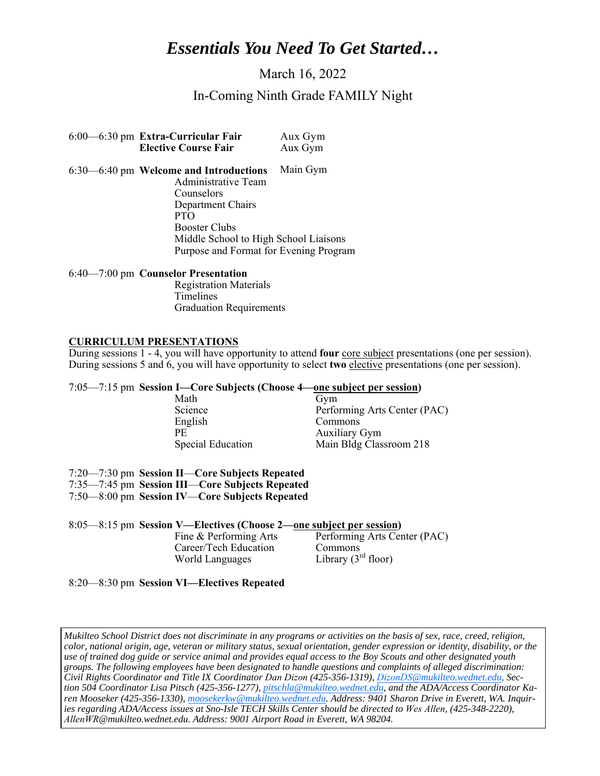# *Essentials You Need To Get Started…*

March 16, 2022

In-Coming Ninth Grade FAMILY Night

| 6:00–6:30 pm Extra-Curricular Fair | Aux Gym |
|------------------------------------|---------|
| <b>Elective Course Fair</b>        | Aux Gym |

6:30—6:40 pm **Welcome and Introductions** Main Gym

> Administrative Team Counselors Department Chairs PTO Booster Clubs Middle School to High School Liaisons Purpose and Format for Evening Program

#### 6:40—7:00 pm **Counselor Presentation**

Registration Materials Timelines Graduation Requirements

#### **CURRICULUM PRESENTATIONS**

During sessions 1 - 4, you will have opportunity to attend **four** <u>core subject</u> presentations (one per session). During sessions 5 and 6, you will have opportunity to select **two** elective presentations (one per session).

#### 7:05—7:15 pm **Session I—Core Subjects (Choose 4—one subject per session)**

Math Gym English Commons PE Auxiliary Gym

Science Performing Arts Center (PAC) Special Education Main Bldg Classroom 218

7:20—7:30 pm **Session II**—**Core Subjects Repeated** 7:35—7:45 pm **Session III**—**Core Subjects Repeated** 7:50—8:00 pm **Session IV**—**Core Subjects Repeated** 

| 8:05—8:15 pm Session V—Electives (Choose 2—one subject per session) |                        |                              |
|---------------------------------------------------------------------|------------------------|------------------------------|
|                                                                     | Fine & Performing Arts | Performing Arts Center (PAC) |
|                                                                     | Career/Tech Education  | Commons                      |
|                                                                     | World Languages        | Library $(3rd$ floor)        |

#### 8:20—8:30 pm **Session VI—Electives Repeated**

*Mukilteo School District does not discriminate in any programs or activities on the basis of sex, race, creed, religion, color, national origin, age, veteran or military status, sexual orientation, gender expression or identity, disability, or the use of trained dog guide or service animal and provides equal access to the Boy Scouts and other designated youth groups. The following employees have been designated to handle questions and complaints of alleged discrimination: Civil Rights Coordinator and Title IX Coordinator Dan Dizon (425-356-1319), DizonDS@mukilteo.wednet.edu, Section 504 Coordinator Lisa Pitsch (425-356-1277), pitschla@mukilteo.wednet.edu, and the ADA/Access Coordinator Karen Mooseker (425-356-1330), moosekerkw@mukilteo.wednet.edu. Address: 9401 Sharon Drive in Everett, WA. Inquiries regarding ADA/Access issues at Sno-Isle TECH Skills Center should be directed to Wes Allen, (425-348-2220), AllenWR@mukilteo.wednet.edu. Address: 9001 Airport Road in Everett, WA 98204.*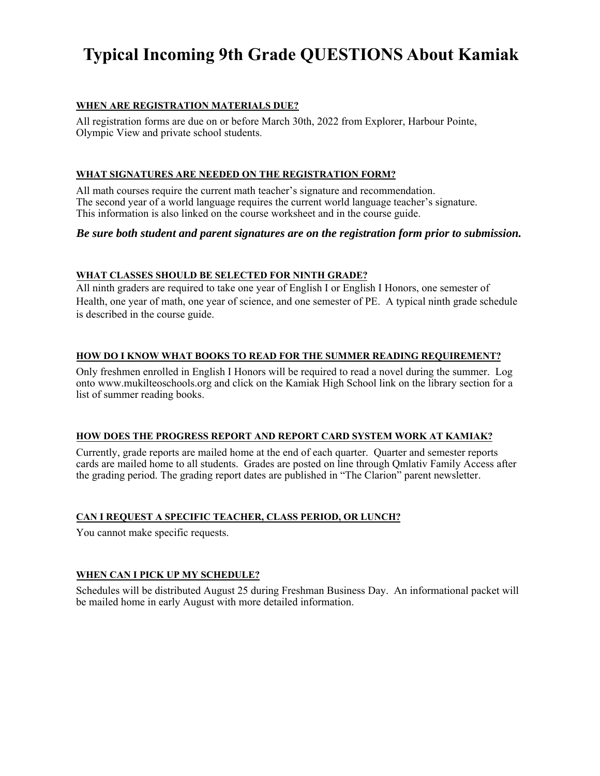# **Typical Incoming 9th Grade QUESTIONS About Kamiak**

#### **WHEN ARE REGISTRATION MATERIALS DUE?**

All registration forms are due on or before March 30th, 2022 from Explorer, Harbour Pointe, Olympic View and private school students.

#### **WHAT SIGNATURES ARE NEEDED ON THE REGISTRATION FORM?**

All math courses require the current math teacher's signature and recommendation. The second year of a world language requires the current world language teacher's signature. This information is also linked on the course worksheet and in the course guide.

#### *Be sure both student and parent signatures are on the registration form prior to submission.*

#### **WHAT CLASSES SHOULD BE SELECTED FOR NINTH GRADE?**

All ninth graders are required to take one year of English I or English I Honors, one semester of Health, one year of math, one year of science, and one semester of PE. A typical ninth grade schedule is described in the course guide.

#### **HOW DO I KNOW WHAT BOOKS TO READ FOR THE SUMMER READING REQUIREMENT?**

Only freshmen enrolled in English I Honors will be required to read a novel during the summer. Log onto www.mukilteoschools.org and click on the Kamiak High School link on the library section for a list of summer reading books.

#### **HOW DOES THE PROGRESS REPORT AND REPORT CARD SYSTEM WORK AT KAMIAK?**

Currently, grade reports are mailed home at the end of each quarter. Quarter and semester reports cards are mailed home to all students. Grades are posted on line through Qmlativ Family Access after the grading period. The grading report dates are published in "The Clarion" parent newsletter.

#### **CAN I REQUEST A SPECIFIC TEACHER, CLASS PERIOD, OR LUNCH?**

You cannot make specific requests.

#### **WHEN CAN I PICK UP MY SCHEDULE?**

Schedules will be distributed August 25 during Freshman Business Day. An informational packet will be mailed home in early August with more detailed information.